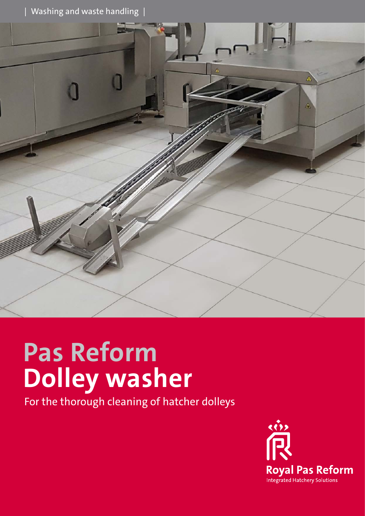Washing and waste handling |



# **Pas Reform Dolley washer**

For the thorough cleaning of hatcher dolleys